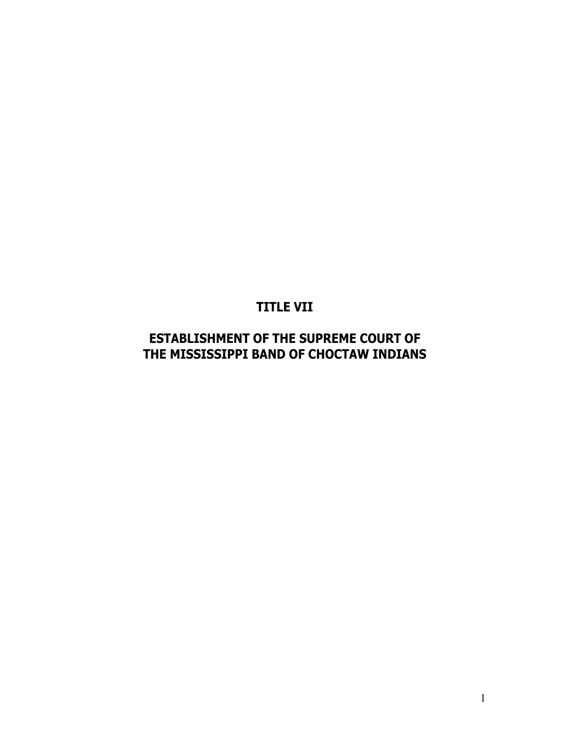# **ESTABLISHMENT OF THE SUPREME COURT OF THE MISSISSIPPI BAND OF CHOCTAW INDIANS**

**TITLE VII**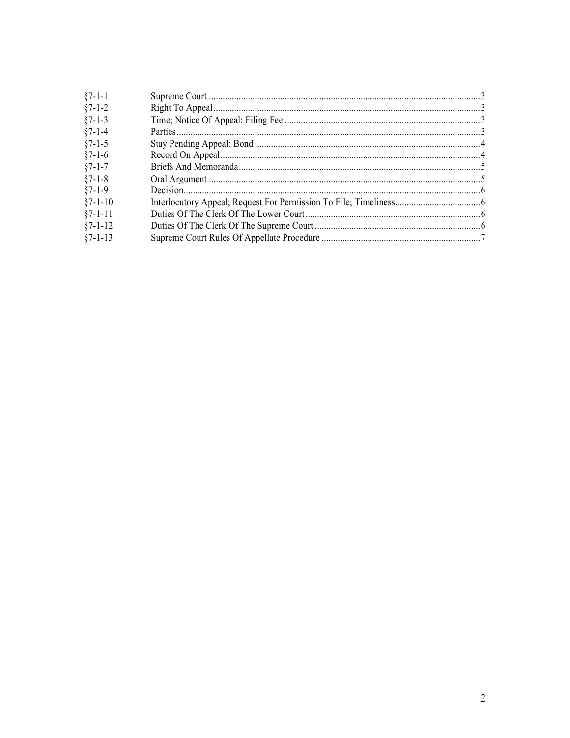| $§7 - 1 - 1$  |  |
|---------------|--|
| $§7 - 1 - 2$  |  |
| $§7 - 1 - 3$  |  |
| $§7 - 1 - 4$  |  |
| $§7 - 1 - 5$  |  |
| $§7-1-6$      |  |
| $§7 - 1 - 7$  |  |
| $§7 - 1 - 8$  |  |
| $§7-1-9$      |  |
| $§7 - 1 - 10$ |  |
| $§7 - 1 - 11$ |  |
| $§7 - 1 - 12$ |  |
| $§7 - 1 - 13$ |  |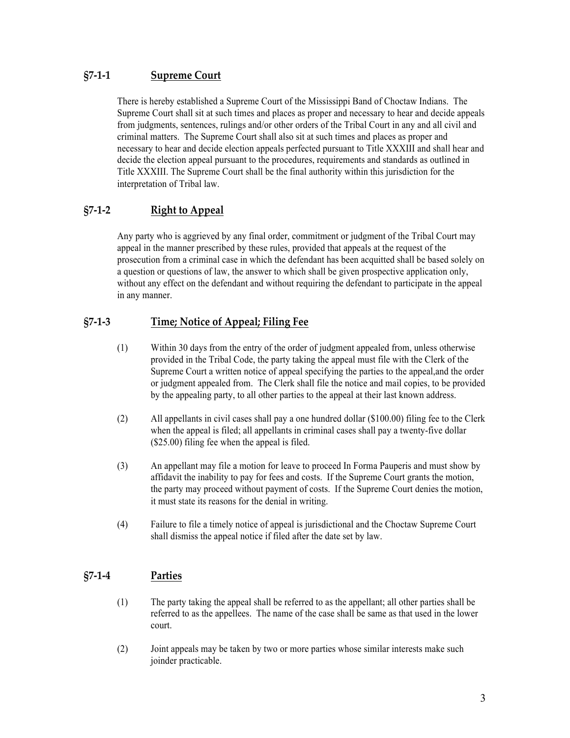# **§7-1-1 Supreme Court**

There is hereby established a Supreme Court of the Mississippi Band of Choctaw Indians. The Supreme Court shall sit at such times and places as proper and necessary to hear and decide appeals from judgments, sentences, rulings and/or other orders of the Tribal Court in any and all civil and criminal matters. The Supreme Court shall also sit at such times and places as proper and necessary to hear and decide election appeals perfected pursuant to Title XXXIII and shall hear and decide the election appeal pursuant to the procedures, requirements and standards as outlined in Title XXXIII. The Supreme Court shall be the final authority within this jurisdiction for the interpretation of Tribal law.

# **§7-1-2 Right to Appeal**

Any party who is aggrieved by any final order, commitment or judgment of the Tribal Court may appeal in the manner prescribed by these rules, provided that appeals at the request of the prosecution from a criminal case in which the defendant has been acquitted shall be based solely on a question or questions of law, the answer to which shall be given prospective application only, without any effect on the defendant and without requiring the defendant to participate in the appeal in any manner.

# **§7-1-3 Time; Notice of Appeal; Filing Fee**

- (1) Within 30 days from the entry of the order of judgment appealed from, unless otherwise provided in the Tribal Code, the party taking the appeal must file with the Clerk of the Supreme Court a written notice of appeal specifying the parties to the appeal,and the order or judgment appealed from. The Clerk shall file the notice and mail copies, to be provided by the appealing party, to all other parties to the appeal at their last known address.
- (2) All appellants in civil cases shall pay a one hundred dollar (\$100.00) filing fee to the Clerk when the appeal is filed; all appellants in criminal cases shall pay a twenty-five dollar (\$25.00) filing fee when the appeal is filed.
- (3) An appellant may file a motion for leave to proceed In Forma Pauperis and must show by affidavit the inability to pay for fees and costs. If the Supreme Court grants the motion, the party may proceed without payment of costs. If the Supreme Court denies the motion, it must state its reasons for the denial in writing.
- (4) Failure to file a timely notice of appeal is jurisdictional and the Choctaw Supreme Court shall dismiss the appeal notice if filed after the date set by law.

# **§7-1-4 Parties**

- (1) The party taking the appeal shall be referred to as the appellant; all other parties shall be referred to as the appellees. The name of the case shall be same as that used in the lower court.
- (2) Joint appeals may be taken by two or more parties whose similar interests make such joinder practicable.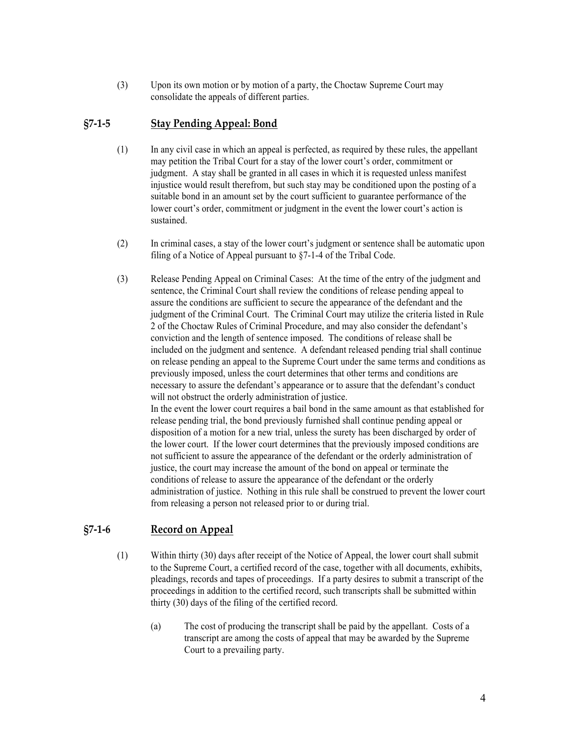(3) Upon its own motion or by motion of a party, the Choctaw Supreme Court may consolidate the appeals of different parties.

#### **§7-1-5 Stay Pending Appeal: Bond**

- (1) In any civil case in which an appeal is perfected, as required by these rules, the appellant may petition the Tribal Court for a stay of the lower court's order, commitment or judgment. A stay shall be granted in all cases in which it is requested unless manifest injustice would result therefrom, but such stay may be conditioned upon the posting of a suitable bond in an amount set by the court sufficient to guarantee performance of the lower court's order, commitment or judgment in the event the lower court's action is sustained.
- (2) In criminal cases, a stay of the lower court's judgment or sentence shall be automatic upon filing of a Notice of Appeal pursuant to §7-1-4 of the Tribal Code.
- (3) Release Pending Appeal on Criminal Cases: At the time of the entry of the judgment and sentence, the Criminal Court shall review the conditions of release pending appeal to assure the conditions are sufficient to secure the appearance of the defendant and the judgment of the Criminal Court. The Criminal Court may utilize the criteria listed in Rule 2 of the Choctaw Rules of Criminal Procedure, and may also consider the defendant's conviction and the length of sentence imposed. The conditions of release shall be included on the judgment and sentence. A defendant released pending trial shall continue on release pending an appeal to the Supreme Court under the same terms and conditions as previously imposed, unless the court determines that other terms and conditions are necessary to assure the defendant's appearance or to assure that the defendant's conduct will not obstruct the orderly administration of justice. In the event the lower court requires a bail bond in the same amount as that established for release pending trial, the bond previously furnished shall continue pending appeal or disposition of a motion for a new trial, unless the surety has been discharged by order of

the lower court. If the lower court determines that the previously imposed conditions are not sufficient to assure the appearance of the defendant or the orderly administration of justice, the court may increase the amount of the bond on appeal or terminate the conditions of release to assure the appearance of the defendant or the orderly administration of justice. Nothing in this rule shall be construed to prevent the lower court from releasing a person not released prior to or during trial.

## **§7-1-6 Record on Appeal**

- (1) Within thirty (30) days after receipt of the Notice of Appeal, the lower court shall submit to the Supreme Court, a certified record of the case, together with all documents, exhibits, pleadings, records and tapes of proceedings. If a party desires to submit a transcript of the proceedings in addition to the certified record, such transcripts shall be submitted within thirty (30) days of the filing of the certified record.
	- (a) The cost of producing the transcript shall be paid by the appellant. Costs of a transcript are among the costs of appeal that may be awarded by the Supreme Court to a prevailing party.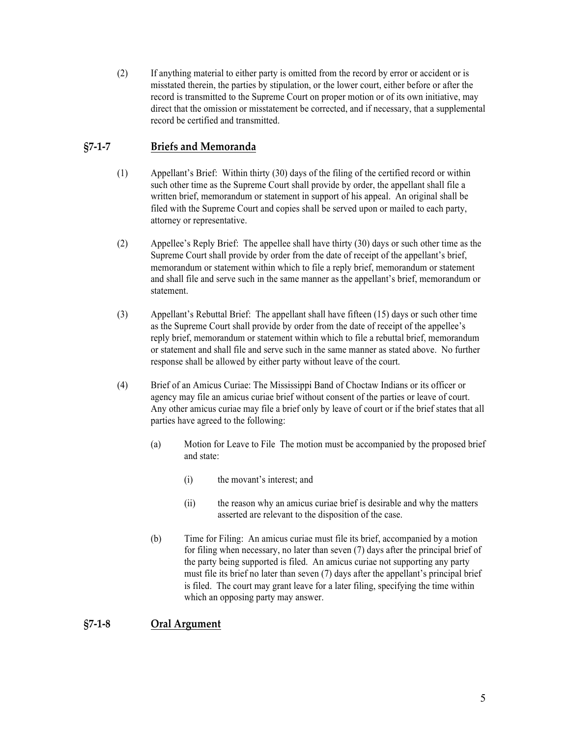(2) If anything material to either party is omitted from the record by error or accident or is misstated therein, the parties by stipulation, or the lower court, either before or after the record is transmitted to the Supreme Court on proper motion or of its own initiative, may direct that the omission or misstatement be corrected, and if necessary, that a supplemental record be certified and transmitted.

# **§7-1-7 Briefs and Memoranda**

- (1) Appellant's Brief: Within thirty (30) days of the filing of the certified record or within such other time as the Supreme Court shall provide by order, the appellant shall file a written brief, memorandum or statement in support of his appeal. An original shall be filed with the Supreme Court and copies shall be served upon or mailed to each party, attorney or representative.
- (2) Appellee's Reply Brief: The appellee shall have thirty (30) days or such other time as the Supreme Court shall provide by order from the date of receipt of the appellant's brief, memorandum or statement within which to file a reply brief, memorandum or statement and shall file and serve such in the same manner as the appellant's brief, memorandum or statement.
- (3) Appellant's Rebuttal Brief: The appellant shall have fifteen (15) days or such other time as the Supreme Court shall provide by order from the date of receipt of the appellee's reply brief, memorandum or statement within which to file a rebuttal brief, memorandum or statement and shall file and serve such in the same manner as stated above. No further response shall be allowed by either party without leave of the court.
- (4) Brief of an Amicus Curiae: The Mississippi Band of Choctaw Indians or its officer or agency may file an amicus curiae brief without consent of the parties or leave of court. Any other amicus curiae may file a brief only by leave of court or if the brief states that all parties have agreed to the following:
	- (a) Motion for Leave to File The motion must be accompanied by the proposed brief and state:
		- (i) the movant's interest; and
		- (ii) the reason why an amicus curiae brief is desirable and why the matters asserted are relevant to the disposition of the case.
	- (b) Time for Filing: An amicus curiae must file its brief, accompanied by a motion for filing when necessary, no later than seven (7) days after the principal brief of the party being supported is filed. An amicus curiae not supporting any party must file its brief no later than seven (7) days after the appellant's principal brief is filed. The court may grant leave for a later filing, specifying the time within which an opposing party may answer.

# **§7-1-8 Oral Argument**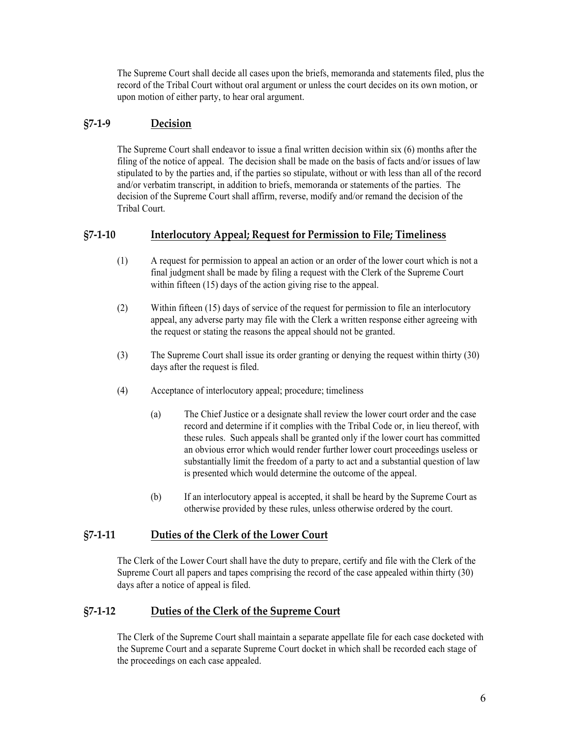The Supreme Court shall decide all cases upon the briefs, memoranda and statements filed, plus the record of the Tribal Court without oral argument or unless the court decides on its own motion, or upon motion of either party, to hear oral argument.

## **§7-1-9 Decision**

The Supreme Court shall endeavor to issue a final written decision within six (6) months after the filing of the notice of appeal. The decision shall be made on the basis of facts and/or issues of law stipulated to by the parties and, if the parties so stipulate, without or with less than all of the record and/or verbatim transcript, in addition to briefs, memoranda or statements of the parties. The decision of the Supreme Court shall affirm, reverse, modify and/or remand the decision of the Tribal Court.

#### **§7-1-10 Interlocutory Appeal; Request for Permission to File; Timeliness**

- (1) A request for permission to appeal an action or an order of the lower court which is not a final judgment shall be made by filing a request with the Clerk of the Supreme Court within fifteen (15) days of the action giving rise to the appeal.
- (2) Within fifteen (15) days of service of the request for permission to file an interlocutory appeal, any adverse party may file with the Clerk a written response either agreeing with the request or stating the reasons the appeal should not be granted.
- (3) The Supreme Court shall issue its order granting or denying the request within thirty (30) days after the request is filed.
- (4) Acceptance of interlocutory appeal; procedure; timeliness
	- (a) The Chief Justice or a designate shall review the lower court order and the case record and determine if it complies with the Tribal Code or, in lieu thereof, with these rules. Such appeals shall be granted only if the lower court has committed an obvious error which would render further lower court proceedings useless or substantially limit the freedom of a party to act and a substantial question of law is presented which would determine the outcome of the appeal.
	- (b) If an interlocutory appeal is accepted, it shall be heard by the Supreme Court as otherwise provided by these rules, unless otherwise ordered by the court.

#### **§7-1-11 Duties of the Clerk of the Lower Court**

The Clerk of the Lower Court shall have the duty to prepare, certify and file with the Clerk of the Supreme Court all papers and tapes comprising the record of the case appealed within thirty (30) days after a notice of appeal is filed.

## **§7-1-12 Duties of the Clerk of the Supreme Court**

The Clerk of the Supreme Court shall maintain a separate appellate file for each case docketed with the Supreme Court and a separate Supreme Court docket in which shall be recorded each stage of the proceedings on each case appealed.